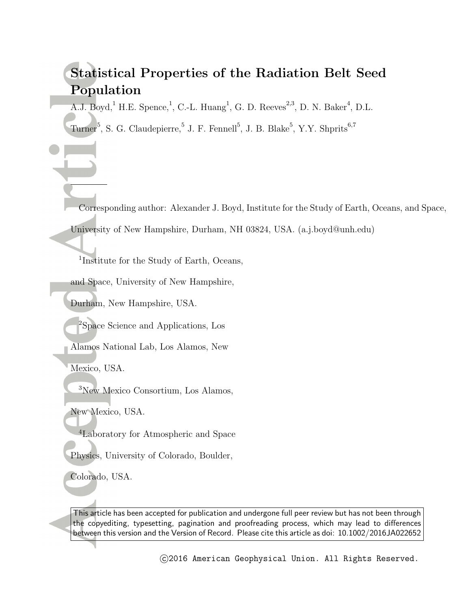# **Statistical Properties of the Radiation Belt Seed Population**

A.J. Boyd,<sup>1</sup> H.E. Spence,<sup>1</sup>, C.-L. Huang<sup>1</sup>, G. D. Reeves<sup>2,3</sup>, D. N. Baker<sup>4</sup>, D.L.

Turner<sup>5</sup>, S. G. Claudepierre, 5 J. F. Fennell<sup>5</sup>, J. B. Blake<sup>5</sup>, Y.Y. Shprits<sup>6,7</sup>

Corresponding author: Alexander J. Boyd, Institute for the Study of Earth, Oceans, and Space, University of New Hampshire, Durham, NH 03824, USA. (a.j.boyd@unh.edu)

1 Institute for the Study of Earth, Oceans,

and Space, University of New Hampshire,

Durham, New Hampshire, USA.

<sup>2</sup>Space Science and Applications, Los

Alamos National Lab, Los Alamos, New

Mexico, USA.

<sup>3</sup>New Mexico Consortium, Los Alamos,

New Mexico, USA.

<sup>4</sup>Laboratory for Atmospheric and Space

Physics, University of Colorado, Boulder,

Colorado, USA.

This article has been accepted for publication and undergone full peer review but has not been through the copyediting, typesetting, pagination and proofreading process, which may lead to differences between this version and the Version of Record. Please cite this article as doi: 10.1002/2016JA022652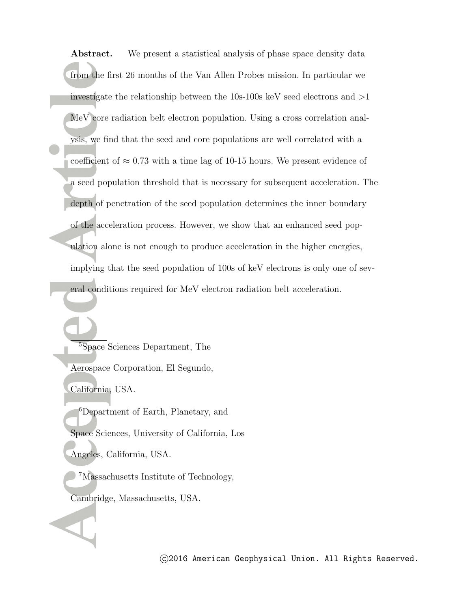Abstract. We present a statistical analysis of phase space density data from the first 26 months of the Van Allen Probes mission. In particular we investigate the relationship between the 10s-100s keV seed electrons and *>*1 MeV core radiation belt electron population. Using a cross correlation analysis, we find that the seed and core populations are well correlated with a coefficient of  $\approx 0.73$  with a time lag of 10-15 hours. We present evidence of a seed population threshold that is necessary for subsequent acceleration. The depth of penetration of the seed population determines the inner boundary of the acceleration process. However, we show that an enhanced seed population alone is not enough to produce acceleration in the higher energies, implying that the seed population of 100s of keV electrons is only one of several conditions required for MeV electron radiation belt acceleration.

<sup>5</sup>Space Sciences Department, The Aerospace Corporation, El Segundo, California, USA. <sup>6</sup>Department of Earth, Planetary, and Space Sciences, University of California, Los Angeles, California, USA.

<sup>7</sup>Massachusetts Institute of Technology, Cambridge, Massachusetts, USA.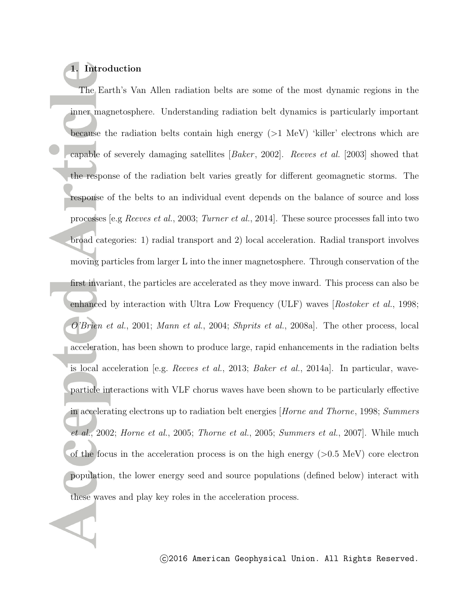## **1. Introduction**

The Earth's Van Allen radiation belts are some of the most dynamic regions in the inner magnetosphere. Understanding radiation belt dynamics is particularly important because the radiation belts contain high energy (*>*1 MeV) 'killer' electrons which are capable of severely damaging satellites [*Baker* , 2002]. *Reeves et al.* [2003] showed that the response of the radiation belt varies greatly for different geomagnetic storms. The response of the belts to an individual event depends on the balance of source and loss processes [e.g *Reeves et al.*, 2003; *Turner et al.*, 2014]. These source processes fall into two broad categories: 1) radial transport and 2) local acceleration. Radial transport involves moving particles from larger L into the inner magnetosphere. Through conservation of the first invariant, the particles are accelerated as they move inward. This process can also be enhanced by interaction with Ultra Low Frequency (ULF) waves [*Rostoker et al.*, 1998; *O'Brien et al.*, 2001; *Mann et al.*, 2004; *Shprits et al.*, 2008a]. The other process, local acceleration, has been shown to produce large, rapid enhancements in the radiation belts is local acceleration [e.g. *Reeves et al.*, 2013; *Baker et al.*, 2014a]. In particular, waveparticle interactions with VLF chorus waves have been shown to be particularly effective in accelerating electrons up to radiation belt energies [*Horne and Thorne*, 1998; *Summers et al.*, 2002; *Horne et al.*, 2005; *Thorne et al.*, 2005; *Summers et al.*, 2007]. While much of the focus in the acceleration process is on the high energy (*>*0.5 MeV) core electron population, the lower energy seed and source populations (defined below) interact with these waves and play key roles in the acceleration process.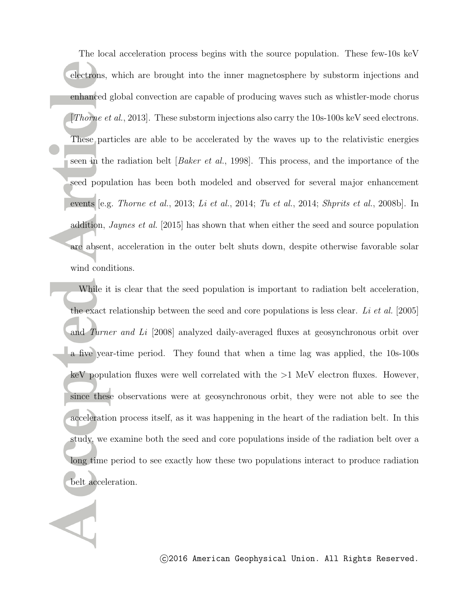The local acceleration process begins with the source population. These few-10s keV electrons, which are brought into the inner magnetosphere by substorm injections and enhanced global convection are capable of producing waves such as whistler-mode chorus [*Thorne et al.*, 2013]. These substorm injections also carry the 10s-100s keV seed electrons. These particles are able to be accelerated by the waves up to the relativistic energies seen in the radiation belt [*Baker et al.*, 1998]. This process, and the importance of the seed population has been both modeled and observed for several major enhancement events [e.g. *Thorne et al.*, 2013; *Li et al.*, 2014; *Tu et al.*, 2014; *Shprits et al.*, 2008b]. In addition, *Jaynes et al.* [2015] has shown that when either the seed and source population are absent, acceleration in the outer belt shuts down, despite otherwise favorable solar wind conditions.

While it is clear that the seed population is important to radiation belt acceleration, the exact relationship between the seed and core populations is less clear. *Li et al.* [2005] and *Turner and Li* [2008] analyzed daily-averaged fluxes at geosynchronous orbit over a five year-time period. They found that when a time lag was applied, the 10s-100s keV population fluxes were well correlated with the *>*1 MeV electron fluxes. However, since these observations were at geosynchronous orbit, they were not able to see the acceleration process itself, as it was happening in the heart of the radiation belt. In this study, we examine both the seed and core populations inside of the radiation belt over a long time period to see exactly how these two populations interact to produce radiation belt acceleration.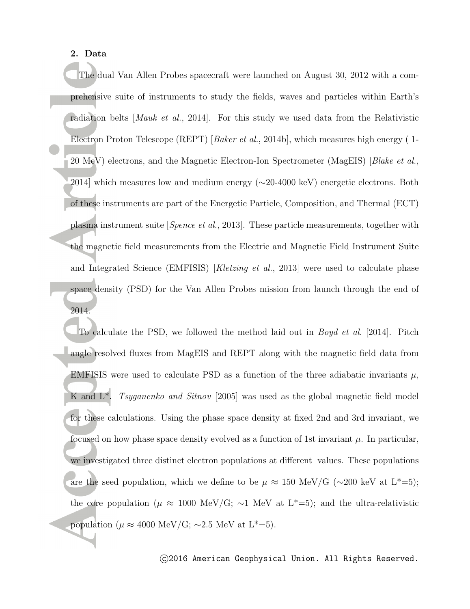#### **2. Data**

The dual Van Allen Probes spacecraft were launched on August 30, 2012 with a comprehensive suite of instruments to study the fields, waves and particles within Earth's radiation belts [*Mauk et al.*, 2014]. For this study we used data from the Relativistic Electron Proton Telescope (REPT) [*Baker et al.*, 2014b], which measures high energy ( 1- 20 MeV) electrons, and the Magnetic Electron-Ion Spectrometer (MagEIS) [*Blake et al.*, 2014] which measures low and medium energy ( $\sim$ 20-4000 keV) energetic electrons. Both of these instruments are part of the Energetic Particle, Composition, and Thermal (ECT) plasma instrument suite [*Spence et al.*, 2013]. These particle measurements, together with the magnetic field measurements from the Electric and Magnetic Field Instrument Suite and Integrated Science (EMFISIS) [*Kletzing et al.*, 2013] were used to calculate phase space density (PSD) for the Van Allen Probes mission from launch through the end of 2014.

To calculate the PSD, we followed the method laid out in *Boyd et al.* [2014]. Pitch angle resolved fluxes from MagEIS and REPT along with the magnetic field data from EMFISIS were used to calculate PSD as a function of the three adiabatic invariants  $\mu$ , K and L\*. *Tsyganenko and Sitnov* [2005] was used as the global magnetic field model for these calculations. Using the phase space density at fixed 2nd and 3rd invariant, we focused on how phase space density evolved as a function of 1st invariant  $\mu$ . In particular, we investigated three distinct electron populations at different values. These populations are the seed population, which we define to be  $\mu \approx 150 \text{ MeV/G } (\sim 200 \text{ keV at L*} = 5);$ the core population ( $\mu \approx 1000 \text{ MeV/G}$ ; ~1 MeV at L<sup>\*</sup>=5); and the ultra-relativistic population ( $\mu \approx 4000 \text{ MeV/G}$ ; ~2.5 MeV at L<sup>\*</sup>=5).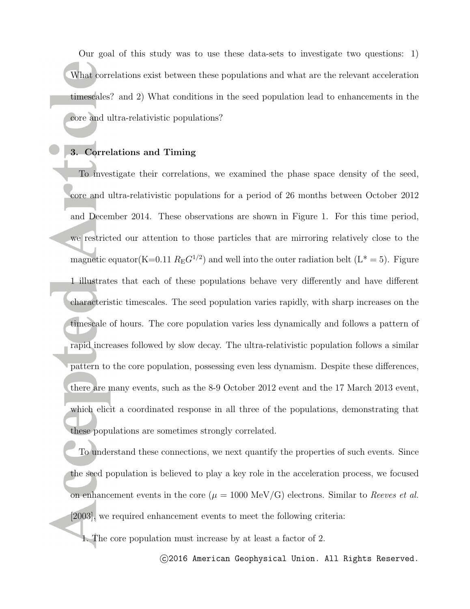Our goal of this study was to use these data-sets to investigate two questions: 1) What correlations exist between these populations and what are the relevant acceleration timescales? and 2) What conditions in the seed population lead to enhancements in the core and ultra-relativistic populations?

#### **3. Correlations and Timing**

To investigate their correlations, we examined the phase space density of the seed, core and ultra-relativistic populations for a period of 26 months between October 2012 and December 2014. These observations are shown in Figure 1. For this time period, we restricted our attention to those particles that are mirroring relatively close to the magnetic equator(K=0.11  $R_E G^{1/2}$ ) and well into the outer radiation belt (L<sup>\*</sup> = 5). Figure 1 illustrates that each of these populations behave very differently and have different characteristic timescales. The seed population varies rapidly, with sharp increases on the timescale of hours. The core population varies less dynamically and follows a pattern of rapid increases followed by slow decay. The ultra-relativistic population follows a similar pattern to the core population, possessing even less dynamism. Despite these differences, there are many events, such as the 8-9 October 2012 event and the 17 March 2013 event, which elicit a coordinated response in all three of the populations, demonstrating that these populations are sometimes strongly correlated.

To understand these connections, we next quantify the properties of such events. Since the seed population is believed to play a key role in the acceleration process, we focused on enhancement events in the core  $(\mu = 1000 \text{ MeV/G})$  electrons. Similar to *Reeves et al.* [2003], we required enhancement events to meet the following criteria:

1. The core population must increase by at least a factor of 2.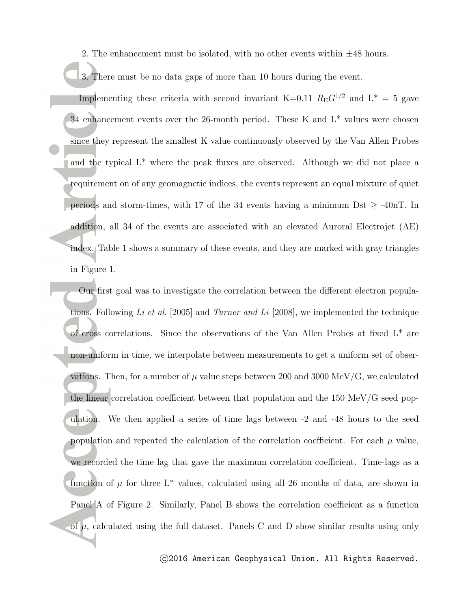2. The enhancement must be isolated, with no other events within *±*48 hours.

3. There must be no data gaps of more than 10 hours during the event.

Implementing these criteria with second invariant K=0.11  $R_{\rm E}G^{1/2}$  and L<sup>\*</sup> = 5 gave 34 enhancement events over the 26-month period. These K and  $L^*$  values were chosen since they represent the smallest K value continuously observed by the Van Allen Probes and the typical L\* where the peak fluxes are observed. Although we did not place a requirement on of any geomagnetic indices, the events represent an equal mixture of quiet periods and storm-times, with 17 of the 34 events having a minimum Dst  $\geq$  -40nT. In addition, all 34 of the events are associated with an elevated Auroral Electrojet (AE) index. Table 1 shows a summary of these events, and they are marked with gray triangles in Figure 1.

Our first goal was to investigate the correlation between the different electron populations. Following *Li et al.* [2005] and *Turner and Li* [2008], we implemented the technique of cross correlations. Since the observations of the Van Allen Probes at fixed L\* are non-uniform in time, we interpolate between measurements to get a uniform set of observations. Then, for a number of  $\mu$  value steps between 200 and 3000 MeV/G, we calculated the linear correlation coefficient between that population and the 150 MeV/G seed population. We then applied a series of time lags between -2 and -48 hours to the seed population and repeated the calculation of the correlation coefficient. For each  $\mu$  value, we recorded the time lag that gave the maximum correlation coefficient. Time-lags as a function of  $\mu$  for three L<sup>\*</sup> values, calculated using all 26 months of data, are shown in Panel A of Figure 2. Similarly, Panel B shows the correlation coefficient as a function of  $\mu$ , calculated using the full dataset. Panels C and D show similar results using only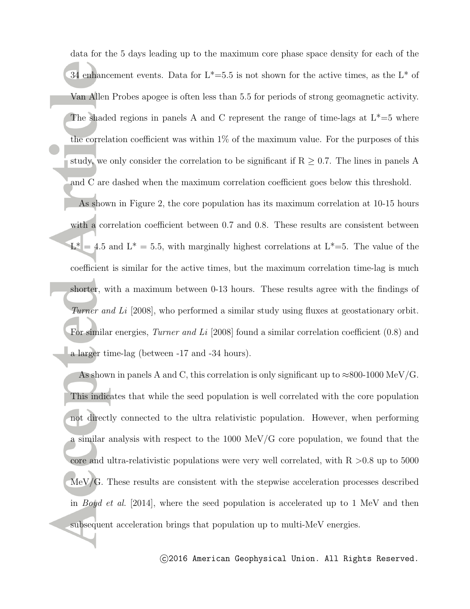data for the 5 days leading up to the maximum core phase space density for each of the 34 enhancement events. Data for  $L^*=5.5$  is not shown for the active times, as the  $L^*$  of Van Allen Probes apogee is often less than 5.5 for periods of strong geomagnetic activity. The shaded regions in panels A and C represent the range of time-lags at  $L^*=5$  where the correlation coefficient was within 1% of the maximum value. For the purposes of this study, we only consider the correlation to be significant if  $R \geq 0.7$ . The lines in panels A and C are dashed when the maximum correlation coefficient goes below this threshold.

As shown in Figure 2, the core population has its maximum correlation at 10-15 hours with a correlation coefficient between 0.7 and 0.8. These results are consistent between  $L^* = 4.5$  and  $L^* = 5.5$ , with marginally highest correlations at  $L^* = 5$ . The value of the coefficient is similar for the active times, but the maximum correlation time-lag is much shorter, with a maximum between 0-13 hours. These results agree with the findings of *Turner and Li* [2008], who performed a similar study using fluxes at geostationary orbit. For similar energies, *Turner and Li* [2008] found a similar correlation coefficient (0.8) and a larger time-lag (between -17 and -34 hours).

As shown in panels A and C, this correlation is only significant up to *≈*800-1000 MeV/G. This indicates that while the seed population is well correlated with the core population not directly connected to the ultra relativistic population. However, when performing a similar analysis with respect to the 1000 MeV/G core population, we found that the core and ultra-relativistic populations were very well correlated, with R *>*0.8 up to 5000 MeV/G. These results are consistent with the stepwise acceleration processes described in *Boyd et al.* [2014], where the seed population is accelerated up to 1 MeV and then subsequent acceleration brings that population up to multi-MeV energies.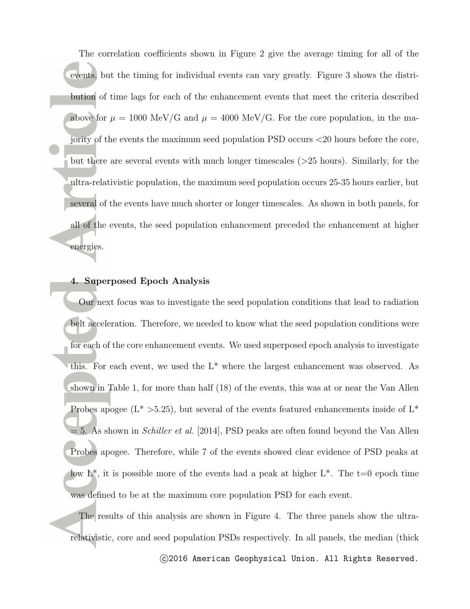The correlation coefficients shown in Figure 2 give the average timing for all of the events, but the timing for individual events can vary greatly. Figure 3 shows the distribution of time lags for each of the enhancement events that meet the criteria described above for  $\mu = 1000 \text{ MeV/G}$  and  $\mu = 4000 \text{ MeV/G}$ . For the core population, in the majority of the events the maximum seed population PSD occurs *<*20 hours before the core, but there are several events with much longer timescales (*>*25 hours). Similarly, for the ultra-relativistic population, the maximum seed population occurs 25-35 hours earlier, but several of the events have much shorter or longer timescales. As shown in both panels, for all of the events, the seed population enhancement preceded the enhancement at higher energies.

#### **4. Superposed Epoch Analysis**

Our next focus was to investigate the seed population conditions that lead to radiation belt acceleration. Therefore, we needed to know what the seed population conditions were for each of the core enhancement events. We used superposed epoch analysis to investigate this. For each event, we used the L\* where the largest enhancement was observed. As shown in Table 1, for more than half (18) of the events, this was at or near the Van Allen Probes apogee  $(L^* > 5.25)$ , but several of the events featured enhancements inside of  $L^*$ = 5. As shown in *Schiller et al.* [2014], PSD peaks are often found beyond the Van Allen Probes apogee. Therefore, while 7 of the events showed clear evidence of PSD peaks at low  $L^*$ , it is possible more of the events had a peak at higher  $L^*$ . The  $t=0$  epoch time was defined to be at the maximum core population PSD for each event.

The results of this analysis are shown in Figure 4. The three panels show the ultrarelativistic, core and seed population PSDs respectively. In all panels, the median (thick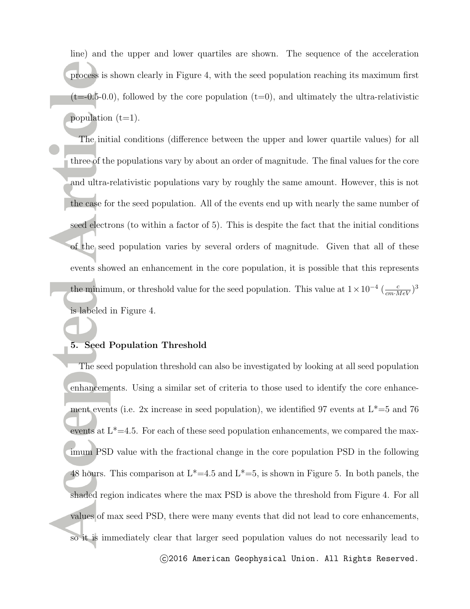line) and the upper and lower quartiles are shown. The sequence of the acceleration process is shown clearly in Figure 4, with the seed population reaching its maximum first  $(t=0.5-0.0)$ , followed by the core population  $(t=0)$ , and ultimately the ultra-relativistic population  $(t=1)$ .

The initial conditions (difference between the upper and lower quartile values) for all three of the populations vary by about an order of magnitude. The final values for the core and ultra-relativistic populations vary by roughly the same amount. However, this is not the case for the seed population. All of the events end up with nearly the same number of seed electrons (to within a factor of 5). This is despite the fact that the initial conditions of the seed population varies by several orders of magnitude. Given that all of these events showed an enhancement in the core population, it is possible that this represents the minimum, or threshold value for the seed population. This value at  $1 \times 10^{-4} \left( \frac{c}{cm \cdot MeV} \right)^3$ is labeled in Figure 4.

#### **5. Seed Population Threshold**

The seed population threshold can also be investigated by looking at all seed population enhancements. Using a similar set of criteria to those used to identify the core enhancement events (i.e. 2x increase in seed population), we identified 97 events at  $L^*=5$  and 76 events at  $L^*=4.5$ . For each of these seed population enhancements, we compared the maximum PSD value with the fractional change in the core population PSD in the following 48 hours. This comparison at  $L^*=4.5$  and  $L^*=5$ , is shown in Figure 5. In both panels, the shaded region indicates where the max PSD is above the threshold from Figure 4. For all values of max seed PSD, there were many events that did not lead to core enhancements, so it is immediately clear that larger seed population values do not necessarily lead to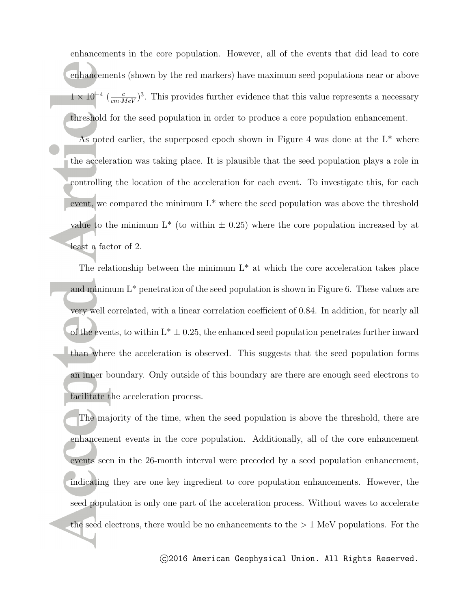enhancements in the core population. However, all of the events that did lead to core enhancements (shown by the red markers) have maximum seed populations near or above  $1 \times 10^{-4}$  ( $\frac{c}{cm \cdot MeV}$ )<sup>3</sup>. This provides further evidence that this value represents a necessary threshold for the seed population in order to produce a core population enhancement.

As noted earlier, the superposed epoch shown in Figure 4 was done at the  $L^*$  where the acceleration was taking place. It is plausible that the seed population plays a role in controlling the location of the acceleration for each event. To investigate this, for each event, we compared the minimum L\* where the seed population was above the threshold value to the minimum  $L^*$  (to within  $\pm$  0.25) where the core population increased by at least a factor of 2.

The relationship between the minimum  $L^*$  at which the core acceleration takes place and minimum  $L^*$  penetration of the seed population is shown in Figure 6. These values are very well correlated, with a linear correlation coefficient of 0.84. In addition, for nearly all of the events, to within  $L^* \pm 0.25$ , the enhanced seed population penetrates further inward than where the acceleration is observed. This suggests that the seed population forms an inner boundary. Only outside of this boundary are there are enough seed electrons to facilitate the acceleration process.

The majority of the time, when the seed population is above the threshold, there are enhancement events in the core population. Additionally, all of the core enhancement events seen in the 26-month interval were preceded by a seed population enhancement, indicating they are one key ingredient to core population enhancements. However, the seed population is only one part of the acceleration process. Without waves to accelerate the seed electrons, there would be no enhancements to the *>* 1 MeV populations. For the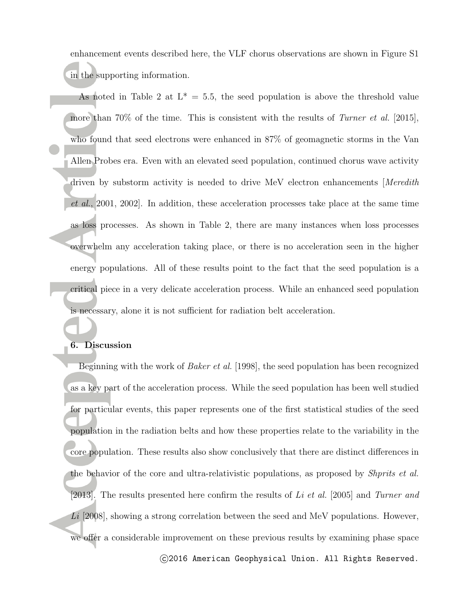enhancement events described here, the VLF chorus observations are shown in Figure S1 in the supporting information.

As noted in Table 2 at  $L^* = 5.5$ , the seed population is above the threshold value more than 70% of the time. This is consistent with the results of *Turner et al.* [2015], who found that seed electrons were enhanced in 87% of geomagnetic storms in the Van Allen Probes era. Even with an elevated seed population, continued chorus wave activity driven by substorm activity is needed to drive MeV electron enhancements [*Meredith et al.*, 2001, 2002]. In addition, these acceleration processes take place at the same time as loss processes. As shown in Table 2, there are many instances when loss processes overwhelm any acceleration taking place, or there is no acceleration seen in the higher energy populations. All of these results point to the fact that the seed population is a critical piece in a very delicate acceleration process. While an enhanced seed population is necessary, alone it is not sufficient for radiation belt acceleration.

### **6. Discussion**

Beginning with the work of *Baker et al.* [1998], the seed population has been recognized as a key part of the acceleration process. While the seed population has been well studied for particular events, this paper represents one of the first statistical studies of the seed population in the radiation belts and how these properties relate to the variability in the core population. These results also show conclusively that there are distinct differences in the behavior of the core and ultra-relativistic populations, as proposed by *Shprits et al.* [2013]. The results presented here confirm the results of *Li et al.* [2005] and *Turner and* Li [2008], showing a strong correlation between the seed and MeV populations. However, we offer a considerable improvement on these previous results by examining phase space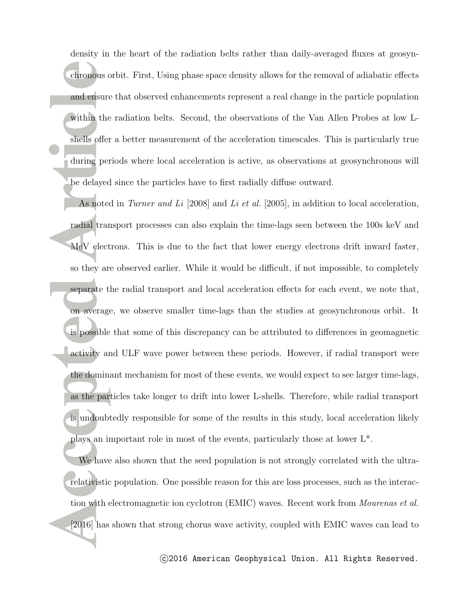density in the heart of the radiation belts rather than daily-averaged fluxes at geosynchronous orbit. First, Using phase space density allows for the removal of adiabatic effects and ensure that observed enhancements represent a real change in the particle population within the radiation belts. Second, the observations of the Van Allen Probes at low Lshells offer a better measurement of the acceleration timescales. This is particularly true during periods where local acceleration is active, as observations at geosynchronous will be delayed since the particles have to first radially diffuse outward.

As noted in *Turner and Li* [2008] and *Li et al.* [2005], in addition to local acceleration, radial transport processes can also explain the time-lags seen between the 100s keV and MeV electrons. This is due to the fact that lower energy electrons drift inward faster, so they are observed earlier. While it would be difficult, if not impossible, to completely separate the radial transport and local acceleration effects for each event, we note that, on average, we observe smaller time-lags than the studies at geosynchronous orbit. It is possible that some of this discrepancy can be attributed to differences in geomagnetic activity and ULF wave power between these periods. However, if radial transport were the dominant mechanism for most of these events, we would expect to see larger time-lags, as the particles take longer to drift into lower L-shells. Therefore, while radial transport is undoubtedly responsible for some of the results in this study, local acceleration likely plays an important role in most of the events, particularly those at lower L\*.

We have also shown that the seed population is not strongly correlated with the ultrarelativistic population. One possible reason for this are loss processes, such as the interaction with electromagnetic ion cyclotron (EMIC) waves. Recent work from *Mourenas et al.* [2016] has shown that strong chorus wave activity, coupled with EMIC waves can lead to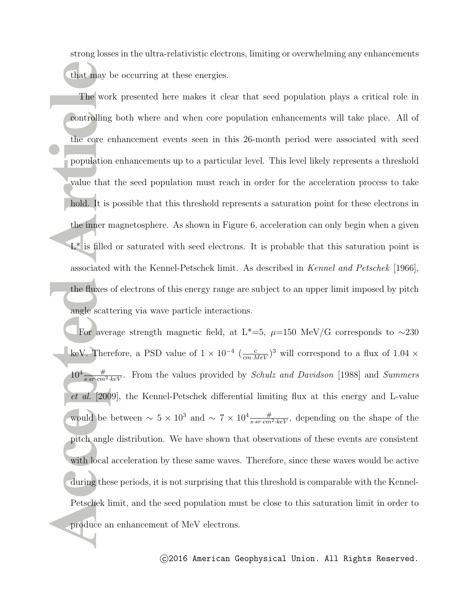strong losses in the ultra-relativistic electrons, limiting or overwhelming any enhancements that may be occurring at these energies.

The work presented here makes it clear that seed population plays a critical role in controlling both where and when core population enhancements will take place. All of the core enhancement events seen in this 26-month period were associated with seed population enhancements up to a particular level. This level likely represents a threshold value that the seed population must reach in order for the acceleration process to take hold. It is possible that this threshold represents a saturation point for these electrons in the inner magnetosphere. As shown in Figure 6, acceleration can only begin when a given  $L^*$  is filled or saturated with seed electrons. It is probable that this saturation point is associated with the Kennel-Petschek limit. As described in *Kennel and Petschek* [1966], the fluxes of electrons of this energy range are subject to an upper limit imposed by pitch angle scattering via wave particle interactions.

For average strength magnetic field, at L<sup>\*</sup>=5,  $\mu$ =150 MeV/G corresponds to  $\sim$ 230 keV. Therefore, a PSD value of  $1 \times 10^{-4}$   $(\frac{c}{cm \cdot MeV})^3$  will correspond to a flux of  $1.04 \times$  $10^4 \frac{\#}{s \cdot sr \cdot cm^2 \cdot keV}$ . From the values provided by *Schulz and Davidson* [1988] and *Summers et al.* [2009], the Kennel-Petschek differential limiting flux at this energy and L-value would be between  $\sim 5 \times 10^3$  and  $\sim 7 \times 10^4 \frac{\#}{s \cdot s r \cdot cm^2 \cdot keV}$ , depending on the shape of the pitch angle distribution. We have shown that observations of these events are consistent with local acceleration by these same waves. Therefore, since these waves would be active during these periods, it is not surprising that this threshold is comparable with the Kennel-Petschek limit, and the seed population must be close to this saturation limit in order to produce an enhancement of MeV electrons.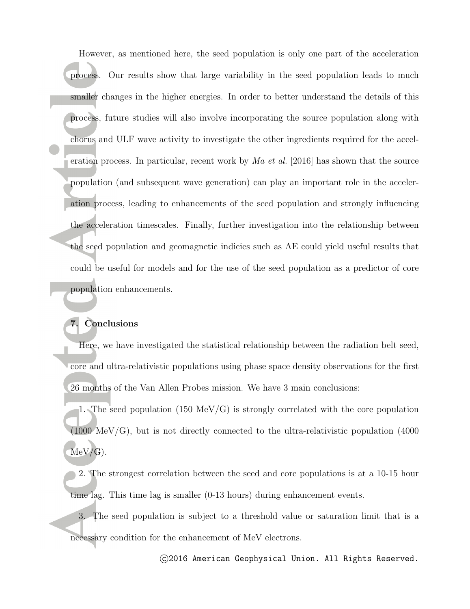However, as mentioned here, the seed population is only one part of the acceleration process. Our results show that large variability in the seed population leads to much smaller changes in the higher energies. In order to better understand the details of this process, future studies will also involve incorporating the source population along with chorus and ULF wave activity to investigate the other ingredients required for the acceleration process. In particular, recent work by *Ma et al.* [2016] has shown that the source population (and subsequent wave generation) can play an important role in the acceleration process, leading to enhancements of the seed population and strongly influencing the acceleration timescales. Finally, further investigation into the relationship between the seed population and geomagnetic indicies such as AE could yield useful results that could be useful for models and for the use of the seed population as a predictor of core population enhancements.

### **7. Conclusions**

Here, we have investigated the statistical relationship between the radiation belt seed, core and ultra-relativistic populations using phase space density observations for the first 26 months of the Van Allen Probes mission. We have 3 main conclusions:

1. The seed population (150 MeV/G) is strongly correlated with the core population (1000 MeV/G), but is not directly connected to the ultra-relativistic population (4000  $MeV/G$ ).

- 2. The strongest correlation between the seed and core populations is at a 10-15 hour time lag. This time lag is smaller (0-13 hours) during enhancement events.
- 3. The seed population is subject to a threshold value or saturation limit that is a necessary condition for the enhancement of MeV electrons.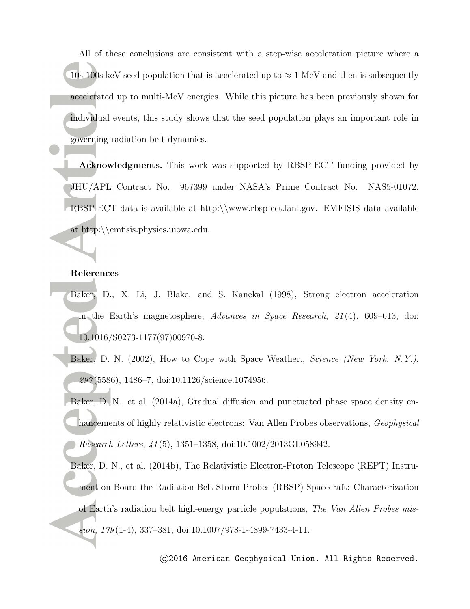All of these conclusions are consistent with a step-wise acceleration picture where a 10s-100s keV seed population that is accelerated up to *≈* 1 MeV and then is subsequently accelerated up to multi-MeV energies. While this picture has been previously shown for individual events, this study shows that the seed population plays an important role in governing radiation belt dynamics.

**Acknowledgments.** This work was supported by RBSP-ECT funding provided by JHU/APL Contract No. 967399 under NASA's Prime Contract No. NAS5-01072. RBSP-ECT data is available at http:*\\*www.rbsp-ect.lanl.gov. EMFISIS data available at http:*\\*emfisis.physics.uiowa.edu.

#### **References**

- Baker, D., X. Li, J. Blake, and S. Kanekal (1998), Strong electron acceleration in the Earth's magnetosphere, *Advances in Space Research*, *21* (4), 609–613, doi: 10.1016/S0273-1177(97)00970-8.
- Baker, D. N. (2002), How to Cope with Space Weather., *Science (New York, N.Y.)*, *297* (5586), 1486–7, doi:10.1126/science.1074956.

Baker, D. N., et al. (2014a), Gradual diffusion and punctuated phase space density enhancements of highly relativistic electrons: Van Allen Probes observations, *Geophysical Research Letters*, *41* (5), 1351–1358, doi:10.1002/2013GL058942.

Baker, D. N., et al. (2014b), The Relativistic Electron-Proton Telescope (REPT) Instrument on Board the Radiation Belt Storm Probes (RBSP) Spacecraft: Characterization of Earth's radiation belt high-energy particle populations, *The Van Allen Probes mission*, *179* (1-4), 337–381, doi:10.1007/978-1-4899-7433-4-11.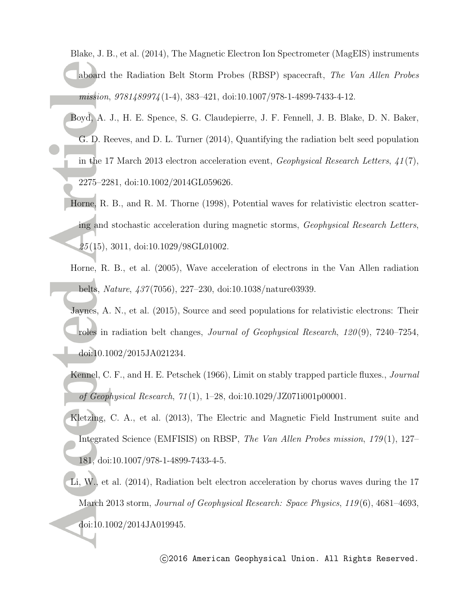Blake, J. B., et al. (2014), The Magnetic Electron Ion Spectrometer (MagEIS) instruments aboard the Radiation Belt Storm Probes (RBSP) spacecraft, *The Van Allen Probes mission*, *9781489974* (1-4), 383–421, doi:10.1007/978-1-4899-7433-4-12.

- Boyd, A. J., H. E. Spence, S. G. Claudepierre, J. F. Fennell, J. B. Blake, D. N. Baker, G. D. Reeves, and D. L. Turner (2014), Quantifying the radiation belt seed population in the 17 March 2013 electron acceleration event, *Geophysical Research Letters*, *41* (7), 2275–2281, doi:10.1002/2014GL059626.
- Horne, R. B., and R. M. Thorne (1998), Potential waves for relativistic electron scattering and stochastic acceleration during magnetic storms, *Geophysical Research Letters*, *25* (15), 3011, doi:10.1029/98GL01002.
- Horne, R. B., et al. (2005), Wave acceleration of electrons in the Van Allen radiation belts, *Nature*, *437* (7056), 227–230, doi:10.1038/nature03939.

Jaynes, A. N., et al. (2015), Source and seed populations for relativistic electrons: Their roles in radiation belt changes, *Journal of Geophysical Research*, *120* (9), 7240–7254, doi:10.1002/2015JA021234.

- Kennel, C. F., and H. E. Petschek (1966), Limit on stably trapped particle fluxes., *Journal of Geophysical Research*, *71* (1), 1–28, doi:10.1029/JZ071i001p00001.
- Kletzing, C. A., et al. (2013), The Electric and Magnetic Field Instrument suite and Integrated Science (EMFISIS) on RBSP, *The Van Allen Probes mission*, *179* (1), 127– 181, doi:10.1007/978-1-4899-7433-4-5.
- Li, W., et al. (2014), Radiation belt electron acceleration by chorus waves during the 17 March 2013 storm, *Journal of Geophysical Research: Space Physics*, *119* (6), 4681–4693, doi:10.1002/2014JA019945.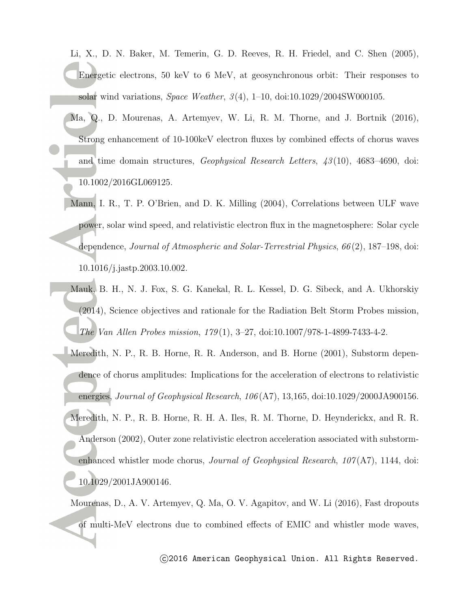Li, X., D. N. Baker, M. Temerin, G. D. Reeves, R. H. Friedel, and C. Shen (2005), Energetic electrons, 50 keV to 6 MeV, at geosynchronous orbit: Their responses to solar wind variations, *Space Weather*, *3* (4), 1–10, doi:10.1029/2004SW000105.

- Ma, Q., D. Mourenas, A. Artemyev, W. Li, R. M. Thorne, and J. Bortnik (2016), Strong enhancement of 10-100keV electron fluxes by combined effects of chorus waves and time domain structures, *Geophysical Research Letters*, *43* (10), 4683–4690, doi: 10.1002/2016GL069125.
- Mann, I. R., T. P. O'Brien, and D. K. Milling (2004), Correlations between ULF wave power, solar wind speed, and relativistic electron flux in the magnetosphere: Solar cycle dependence, *Journal of Atmospheric and Solar-Terrestrial Physics*, *66* (2), 187–198, doi: 10.1016/j.jastp.2003.10.002.
- Mauk, B. H., N. J. Fox, S. G. Kanekal, R. L. Kessel, D. G. Sibeck, and A. Ukhorskiy (2014), Science objectives and rationale for the Radiation Belt Storm Probes mission, *The Van Allen Probes mission*, *179* (1), 3–27, doi:10.1007/978-1-4899-7433-4-2.
- Meredith, N. P., R. B. Horne, R. R. Anderson, and B. Horne (2001), Substorm dependence of chorus amplitudes: Implications for the acceleration of electrons to relativistic energies, *Journal of Geophysical Research*, *106* (A7), 13,165, doi:10.1029/2000JA900156. Meredith, N. P., R. B. Horne, R. H. A. Iles, R. M. Thorne, D. Heynderickx, and R. R. Anderson (2002), Outer zone relativistic electron acceleration associated with substormenhanced whistler mode chorus, *Journal of Geophysical Research*, *107* (A7), 1144, doi: 10.1029/2001JA900146.

Mourenas, D., A. V. Artemyev, Q. Ma, O. V. Agapitov, and W. Li (2016), Fast dropouts of multi-MeV electrons due to combined effects of EMIC and whistler mode waves,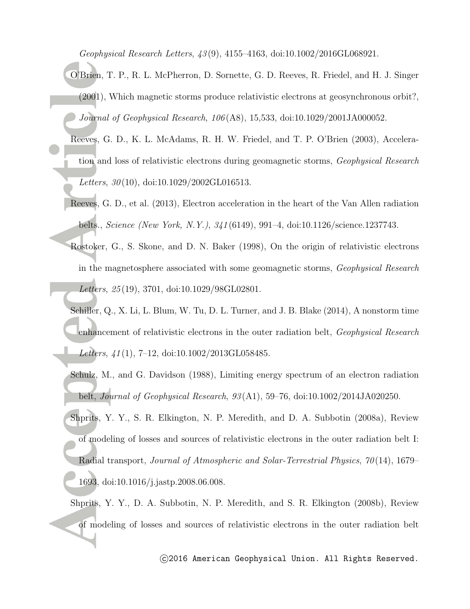*Geophysical Research Letters*, *43* (9), 4155–4163, doi:10.1002/2016GL068921.

- O'Brien, T. P., R. L. McPherron, D. Sornette, G. D. Reeves, R. Friedel, and H. J. Singer (2001), Which magnetic storms produce relativistic electrons at geosynchronous orbit?, *Journal of Geophysical Research*, *106* (A8), 15,533, doi:10.1029/2001JA000052.
- Reeves, G. D., K. L. McAdams, R. H. W. Friedel, and T. P. O'Brien (2003), Acceleration and loss of relativistic electrons during geomagnetic storms, *Geophysical Research Letters*, *30* (10), doi:10.1029/2002GL016513.
- Reeves, G. D., et al. (2013), Electron acceleration in the heart of the Van Allen radiation belts., *Science (New York, N.Y.)*, *341* (6149), 991–4, doi:10.1126/science.1237743.
- Rostoker, G., S. Skone, and D. N. Baker (1998), On the origin of relativistic electrons in the magnetosphere associated with some geomagnetic storms, *Geophysical Research Letters*, *25* (19), 3701, doi:10.1029/98GL02801.
- Schiller, Q., X. Li, L. Blum, W. Tu, D. L. Turner, and J. B. Blake (2014), A nonstorm time enhancement of relativistic electrons in the outer radiation belt, *Geophysical Research Letters*, *41* (1), 7–12, doi:10.1002/2013GL058485.
- Schulz, M., and G. Davidson (1988), Limiting energy spectrum of an electron radiation belt, *Journal of Geophysical Research*, *93* (A1), 59–76, doi:10.1002/2014JA020250.
- Shprits, Y. Y., S. R. Elkington, N. P. Meredith, and D. A. Subbotin (2008a), Review of modeling of losses and sources of relativistic electrons in the outer radiation belt I: Radial transport, *Journal of Atmospheric and Solar-Terrestrial Physics*, *70* (14), 1679– 1693, doi:10.1016/j.jastp.2008.06.008.
- Shprits, Y. Y., D. A. Subbotin, N. P. Meredith, and S. R. Elkington (2008b), Review of modeling of losses and sources of relativistic electrons in the outer radiation belt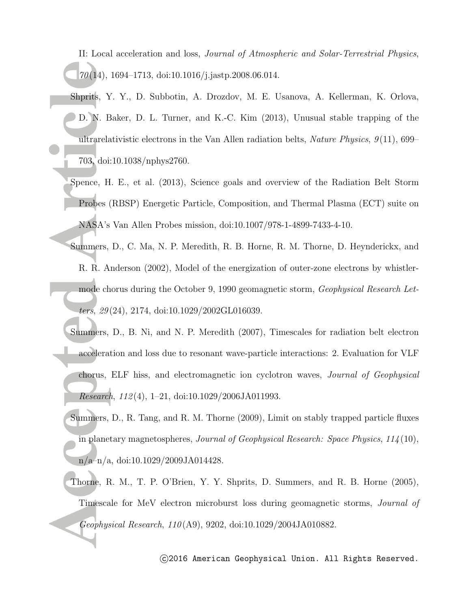II: Local acceleration and loss, *Journal of Atmospheric and Solar-Terrestrial Physics*, *70* (14), 1694–1713, doi:10.1016/j.jastp.2008.06.014.

- Shprits, Y. Y., D. Subbotin, A. Drozdov, M. E. Usanova, A. Kellerman, K. Orlova, D. N. Baker, D. L. Turner, and K.-C. Kim (2013), Unusual stable trapping of the ultrarelativistic electrons in the Van Allen radiation belts, *Nature Physics*, *9* (11), 699– 703, doi:10.1038/nphys2760.
- Spence, H. E., et al. (2013), Science goals and overview of the Radiation Belt Storm Probes (RBSP) Energetic Particle, Composition, and Thermal Plasma (ECT) suite on NASA's Van Allen Probes mission, doi:10.1007/978-1-4899-7433-4-10.
- Summers, D., C. Ma, N. P. Meredith, R. B. Horne, R. M. Thorne, D. Heynderickx, and R. R. Anderson (2002), Model of the energization of outer-zone electrons by whistlermode chorus during the October 9, 1990 geomagnetic storm, *Geophysical Research Letters*, *29* (24), 2174, doi:10.1029/2002GL016039.
- Summers, D., B. Ni, and N. P. Meredith (2007), Timescales for radiation belt electron acceleration and loss due to resonant wave-particle interactions: 2. Evaluation for VLF chorus, ELF hiss, and electromagnetic ion cyclotron waves, *Journal of Geophysical Research*, *112* (4), 1–21, doi:10.1029/2006JA011993.
- Summers, D., R. Tang, and R. M. Thorne (2009), Limit on stably trapped particle fluxes in planetary magnetospheres, *Journal of Geophysical Research: Space Physics*, *114* (10), n/a–n/a, doi:10.1029/2009JA014428.
- Thorne, R. M., T. P. O'Brien, Y. Y. Shprits, D. Summers, and R. B. Horne (2005), Timescale for MeV electron microburst loss during geomagnetic storms, *Journal of Geophysical Research*, *110* (A9), 9202, doi:10.1029/2004JA010882.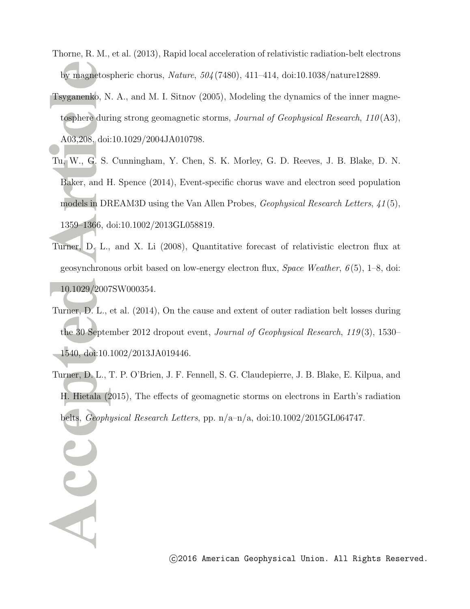- Thorne, R. M., et al. (2013), Rapid local acceleration of relativistic radiation-belt electrons by magnetospheric chorus, *Nature*, *504* (7480), 411–414, doi:10.1038/nature12889.
- Tsyganenko, N. A., and M. I. Sitnov (2005), Modeling the dynamics of the inner magnetosphere during strong geomagnetic storms, *Journal of Geophysical Research*, *110* (A3), A03,208, doi:10.1029/2004JA010798.
- Tu, W., G. S. Cunningham, Y. Chen, S. K. Morley, G. D. Reeves, J. B. Blake, D. N. Baker, and H. Spence (2014), Event-specific chorus wave and electron seed population models in DREAM3D using the Van Allen Probes, *Geophysical Research Letters*, *41* (5), 1359–1366, doi:10.1002/2013GL058819.
- Turner, D. L., and X. Li (2008), Quantitative forecast of relativistic electron flux at geosynchronous orbit based on low-energy electron flux, *Space Weather*, *6* (5), 1–8, doi: 10.1029/2007SW000354.
- Turner, D. L., et al. (2014), On the cause and extent of outer radiation belt losses during the 30 September 2012 dropout event, *Journal of Geophysical Research*, *119* (3), 1530– 1540, doi:10.1002/2013JA019446.
- Turner, D. L., T. P. O'Brien, J. F. Fennell, S. G. Claudepierre, J. B. Blake, E. Kilpua, and H. Hietala (2015), The effects of geomagnetic storms on electrons in Earth's radiation belts, *Geophysical Research Letters*, pp. n/a–n/a, doi:10.1002/2015GL064747.

Acc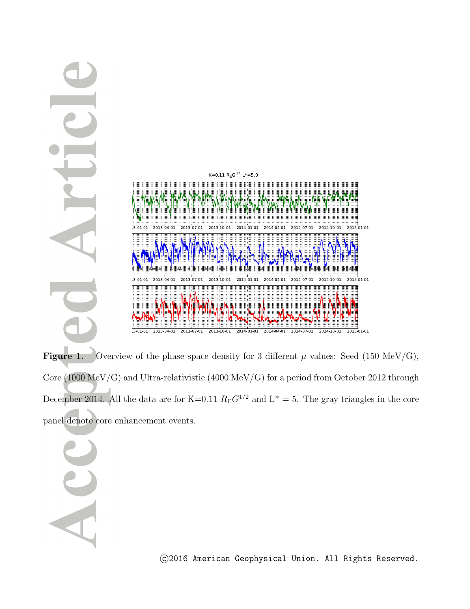

**Figure 1.** Overview of the phase space density for 3 different  $\mu$  values: Seed (150 MeV/G), Core (1000 MeV/G) and Ultra-relativistic (4000 MeV/G) for a period from October 2012 through December 2014. All the data are for K=0.11  $R_E G^{1/2}$  and  $L^* = 5$ . The gray triangles in the core panel denote core enhancement events.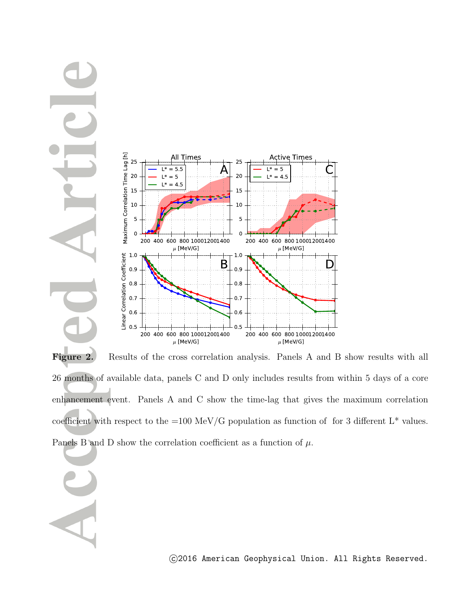

Figure 2. Results of the cross correlation analysis. Panels A and B show results with all 26 months of available data, panels C and D only includes results from within 5 days of a core enhancement event. Panels A and C show the time-lag that gives the maximum correlation coefficient with respect to the =100 MeV/G population as function of for 3 different  $L^*$  values. Panels B and D show the correlation coefficient as a function of  $\mu$ .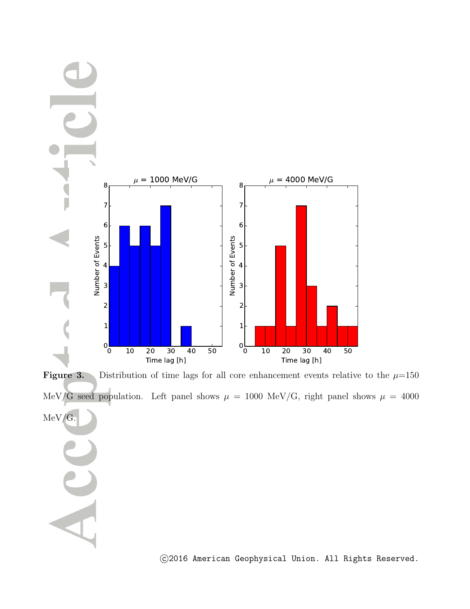

**Figure 3.** Distribution of time lags for all core enhancement events relative to the  $\mu$ =150 MeV/G seed population. Left panel shows  $\mu = 1000$  MeV/G, right panel shows  $\mu = 4000$ MeV/G.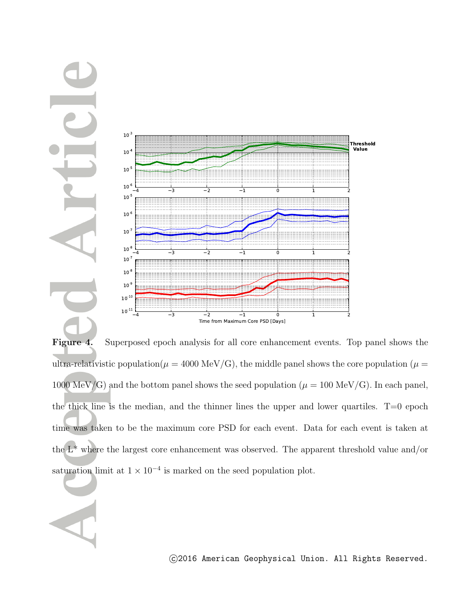

**Figure 4.** Superposed epoch analysis for all core enhancement events. Top panel shows the ultra-relativistic population( $\mu = 4000 \text{ MeV/G}$ ), the middle panel shows the core population ( $\mu =$ 1000 MeV/G) and the bottom panel shows the seed population ( $\mu = 100 \text{ MeV/G}$ ). In each panel, the thick line is the median, and the thinner lines the upper and lower quartiles.  $T=0$  epoch time was taken to be the maximum core PSD for each event. Data for each event is taken at the  $L^*$  where the largest core enhancement was observed. The apparent threshold value and/or saturation limit at  $1 \times 10^{-4}$  is marked on the seed population plot.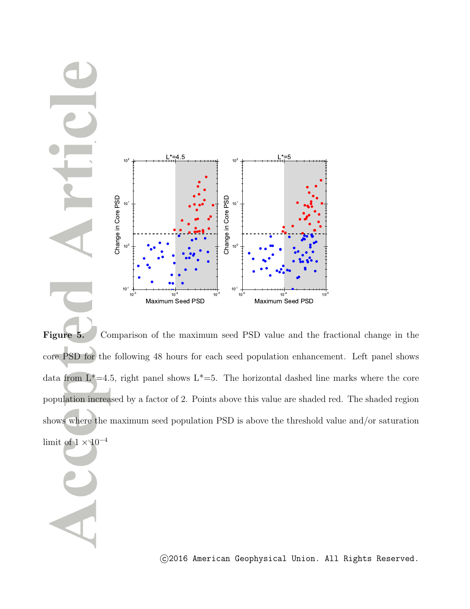

**Figure 5.** Comparison of the maximum seed PSD value and the fractional change in the core PSD for the following 48 hours for each seed population enhancement. Left panel shows data from  $L^*=4.5$ , right panel shows  $L^*=5$ . The horizontal dashed line marks where the core population increased by a factor of 2. Points above this value are shaded red. The shaded region shows where the maximum seed population PSD is above the threshold value and/or saturation limit of 1 *<sup>×</sup>* <sup>10</sup>*−*<sup>4</sup>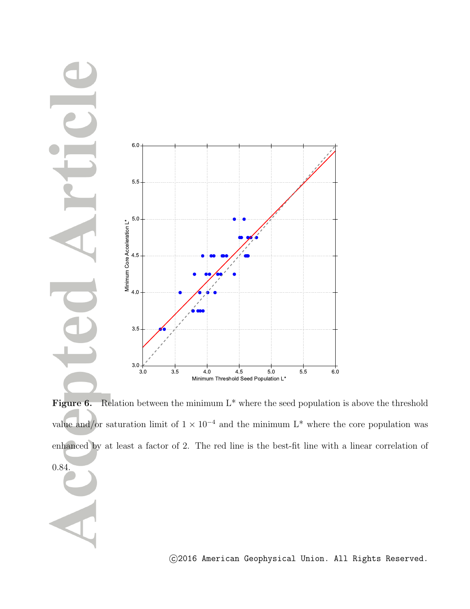

Figure 6. Relation between the minimum L<sup>\*</sup> where the seed population is above the threshold value and/or saturation limit of  $1 \times 10^{-4}$  and the minimum L<sup>\*</sup> where the core population was enhanced by at least a factor of 2. The red line is the best-fit line with a linear correlation of 0.84.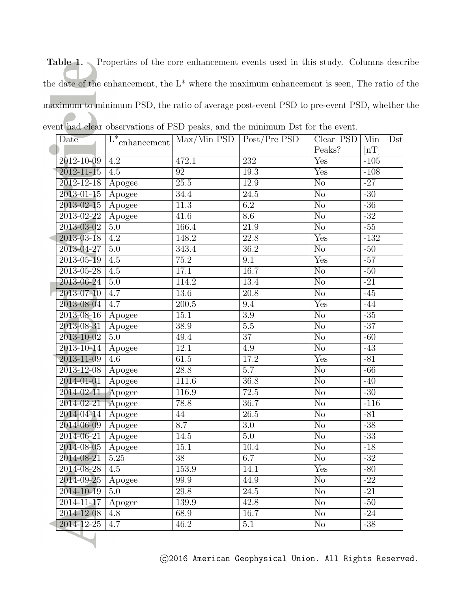Table 1. Properties of the core enhancement events used in this study. Columns describe the date of the enhancement, the L\* where the maximum enhancement is seen, The ratio of the maximum to minimum PSD, the ratio of average post-event PSD to pre-event PSD, whether the event had clear observations of PSD peaks, and the minimum Dst for the event.

|  | Date                      | $\overline{\mathrm{L^{*}}_{enhancement}}$ | Max/Min PSD   Post/Pre PSD |                   | Clear PSD               | Min                      | Dst |
|--|---------------------------|-------------------------------------------|----------------------------|-------------------|-------------------------|--------------------------|-----|
|  |                           |                                           |                            |                   | Peaks?                  | $\left[\text{nT}\right]$ |     |
|  | 2012-10-09                | 4.2                                       | 472.1                      | 232               | Yes                     | $-105$                   |     |
|  | $2012 - 11 - 15$          | 4.5                                       | $\overline{92}$            | 19.3              | Yes                     | $-108$                   |     |
|  | $2012 - 12 - 18$          | Apogee                                    | $\overline{25.5}$          | 12.9              | $\overline{\text{No}}$  | $-27$                    |     |
|  | 2013-01-15                | Apogee                                    | 34.4                       | $\overline{24.5}$ | $\overline{\text{No}}$  | $-30$                    |     |
|  | $2013 - 02 - 15$          | Apogee                                    | $\overline{11.3}$          | $\overline{6.2}$  | $\overline{\text{No}}$  | $-36$                    |     |
|  | 2013-02-22                | Apogee                                    | 41.6                       | 8.6               | $\overline{\text{No}}$  | $-32$                    |     |
|  | 2013-03-02                | $\overline{5.0}$                          | 166.4                      | $\overline{21.9}$ | $\overline{\text{No}}$  | $-55$                    |     |
|  | $2013 - 03 - 18$          | $\overline{4.2}$                          | 148.2                      | $\overline{22.8}$ | $\overline{\text{Yes}}$ | $-132$                   |     |
|  | 2013-04-27                | 5.0                                       | 343.4                      | $\overline{36.2}$ | $\overline{\text{No}}$  | $-50$                    |     |
|  | 2013-05-19                | 4.5                                       | 75.2                       | $\overline{9.1}$  | Yes                     | $-57$                    |     |
|  | $2013 - 05 - 28$          | 4.5                                       | 17.1                       | $\overline{16.7}$ | $\overline{\text{No}}$  | $-50$                    |     |
|  | 2013-06-24                | 5.0                                       | 114.2                      | 13.4              | $\overline{\text{No}}$  | $-21$                    |     |
|  | 2013-07-10                | 4.7                                       | 13.6                       | $\overline{20.8}$ | $\overline{\text{No}}$  | $-45$                    |     |
|  | 2013-08-04                | 4.7                                       | $\overline{200.5}$         | $\overline{9.4}$  | Yes                     | $-44$                    |     |
|  | 2013-08-16                | Apogee                                    | $\overline{15.1}$          | $\overline{3.9}$  | $\overline{\text{No}}$  | $-35$                    |     |
|  | 2013-08-31                | Apogee                                    | 38.9                       | $\overline{5.5}$  | $\overline{\text{No}}$  | $-37$                    |     |
|  | 2013-10-02                | 5.0                                       | 49.4                       | $\overline{37}$   | $\overline{\text{No}}$  | $-60$                    |     |
|  | $2013 - 10 - 14$          | Apogee                                    | 12.1                       | 4.9               | $\overline{\text{No}}$  | $-43$                    |     |
|  | $2013 - 11 - 09$          | $\overline{4.6}$                          | 61.5                       | 17.2              | $\overline{\text{Yes}}$ | $-81$                    |     |
|  | 2013-12-08                | Apogee                                    | $\overline{28.8}$          | $\overline{5.7}$  | $\overline{\text{No}}$  | $-66$                    |     |
|  | 2014-01-01                | Apogee                                    | $1\overline{11.6}$         | 36.8              | $\overline{\text{No}}$  | $-40$                    |     |
|  | 2014-02-11                | Apogee                                    | 116.9                      | 72.5              | N <sub>o</sub>          | $-30$                    |     |
|  | $2014 - 02 - 21$          | Apogee                                    | 78.8                       | $\overline{36.7}$ | $\overline{\text{No}}$  | $-116$                   |     |
|  | 2014-04-14                | Apogee                                    | 44                         | $\overline{26.5}$ | $\overline{\text{No}}$  | $-81$                    |     |
|  | 2014-06-09                | Apogee                                    | 8.7                        | $\overline{3.0}$  | $\overline{\text{No}}$  | $-38$                    |     |
|  | 2014-06-21                | Apogee                                    | 14.5                       | $\overline{5.0}$  | $\overline{\text{No}}$  | $-33$                    |     |
|  | 2014-08-05                | Apogee                                    | 15.1                       | 10.4              | $\rm No$                | $-18$                    |     |
|  | 2014-08-21                | 5.25                                      | $\overline{38}$            | 6.7               | $\overline{\text{No}}$  | $-32$                    |     |
|  | 2014-08-28                | $\overline{4.5}$                          | 153.9                      | 14.1              | Yes                     | $-80$                    |     |
|  | $2014 - 09 - 25$   Apogee |                                           | 99.9                       | 44.9              | N <sub>o</sub>          | $-22$                    |     |
|  | $2014 - 10 - 19$          | 5.0                                       | 29.8                       | 24.5              | $\rm No$                | $-21$                    |     |
|  | $2014 - 11 - 17$          | Apogee                                    | 139.9                      | 42.8              | $\rm No$                | $-50$                    |     |
|  | 2014-12-08                | $\overline{4.8}$                          | 68.9                       | $\overline{16.7}$ | $\overline{\text{No}}$  | $-24$                    |     |
|  | 2014-12-25                | 4.7                                       | 46.2                       | 5.1               | $\overline{\text{No}}$  | $-38$                    |     |
|  |                           |                                           |                            |                   |                         |                          |     |
|  |                           |                                           |                            |                   |                         |                          |     |